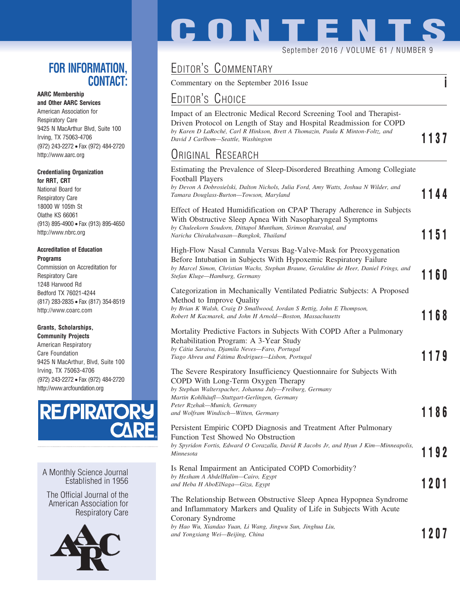### **FOR INFORMATION, CONTACT:**

### **AARC Membership**

**and Other AARC Services** American Association for Respiratory Care 9425 N MacArthur Blvd, Suite 100 Irving, TX 75063-4706 (972) 243-2272 • Fax (972) 484-2720 http://www.aarc.org

### **Credentialing Organization for RRT, CRT**

National Board for Respiratory Care 18000 W 105th St Olathe KS 66061 (913) 895-4900 • Fax (913) 895-4650 http://www.nbrc.org

### **Accreditation of Education Programs**

Commission on Accreditation for Respiratory Care 1248 Harwood Rd Bedford TX 76021-4244 (817) 283-2835 • Fax (817) 354-8519 http://www.coarc.com

### **Grants, Scholarships,**

**Community Projects** American Respiratory Care Foundation 9425 N MacArthur, Blvd, Suite 100 Irving, TX 75063-4706 (972) 243-2272 • Fax (972) 484-2720 http://www.arcfoundation.org



A Monthly Science Journal Established in 1956

The Official Journal of the American Association for Respiratory Care



# **CONTENTS**

September 2016 / VOLUME 61 / NUMBER 9

## EDITOR'S COMMENTARY

Commentary on the September 2016 Issue **i**

## EDITOR'S CHOICE

Impact of an Electronic Medical Record Screening Tool and Therapist-Driven Protocol on Length of Stay and Hospital Readmission for COPD *by Karen D LaRoche´, Carl R Hinkson, Brett A Thomazin, Paula K Minton-Foltz, and David J Carlbom—Seattle, Washington* **1137** 

## ORIGINAL RESEARCH

| Estimating the Prevalence of Sleep-Disordered Breathing Among Collegiate<br>Football Players<br>by Devon A Dobrosielski, Dalton Nichols, Julia Ford, Amy Watts, Joshua N Wilder, and<br>Tamara Douglass-Burton-Towson, Maryland                                                                 | 1144 |
|-------------------------------------------------------------------------------------------------------------------------------------------------------------------------------------------------------------------------------------------------------------------------------------------------|------|
| Effect of Heated Humidification on CPAP Therapy Adherence in Subjects<br>With Obstructive Sleep Apnea With Nasopharyngeal Symptoms<br>by Chuleekorn Soudorn, Dittapol Muntham, Sirimon Reutrakul, and<br>Naricha Chirakalwasan-Bangkok, Thailand                                                | 1151 |
| High-Flow Nasal Cannula Versus Bag-Valve-Mask for Preoxygenation<br>Before Intubation in Subjects With Hypoxemic Respiratory Failure<br>by Marcel Simon, Christian Wachs, Stephan Braune, Geraldine de Heer, Daniel Frings, and<br>Stefan Kluge-Hamburg, Germany                                | 1160 |
| Categorization in Mechanically Ventilated Pediatric Subjects: A Proposed<br>Method to Improve Quality<br>by Brian K Walsh, Craig D Smallwood, Jordan S Rettig, John E Thompson,<br>Robert M Kacmarek, and John H Arnold-Boston, Massachusetts                                                   | 1168 |
| Mortality Predictive Factors in Subjects With COPD After a Pulmonary<br>Rehabilitation Program: A 3-Year Study<br>by Cátia Saraiva, Djamila Neves-Faro, Portugal<br>Tiago Abreu and Fátima Rodrigues-Lisbon, Portugal                                                                           | 1179 |
| The Severe Respiratory Insufficiency Questionnaire for Subjects With<br>COPD With Long-Term Oxygen Therapy<br>by Stephan Walterspacher, Johanna July-Freiburg, Germany<br>Martin Kohlhäufl-Stuttgart-Gerlingen, Germany<br>Peter Rzehak-Munich, Germany<br>and Wolfram Windisch-Witten, Germany | 1186 |
| Persistent Empiric COPD Diagnosis and Treatment After Pulmonary<br>Function Test Showed No Obstruction<br>by Spyridon Fortis, Edward O Corazalla, David R Jacobs Jr, and Hyun J Kim—Minneapolis,<br>Minnesota                                                                                   | 1192 |
| Is Renal Impairment an Anticipated COPD Comorbidity?<br>by Hesham A AbdelHalim-Cairo, Egypt<br>and Heba H AboElNaga—Giza, Egypt                                                                                                                                                                 | 1201 |
| The Relationship Between Obstructive Sleep Apnea Hypopnea Syndrome<br>and Inflammatory Markers and Quality of Life in Subjects With Acute<br>Coronary Syndrome                                                                                                                                  |      |
| by Hao Wu, Xiandao Yuan, Li Wang, Jingwu Sun, Jinghua Liu,<br>and Yongxiang Wei-Beijing, China                                                                                                                                                                                                  | 1207 |